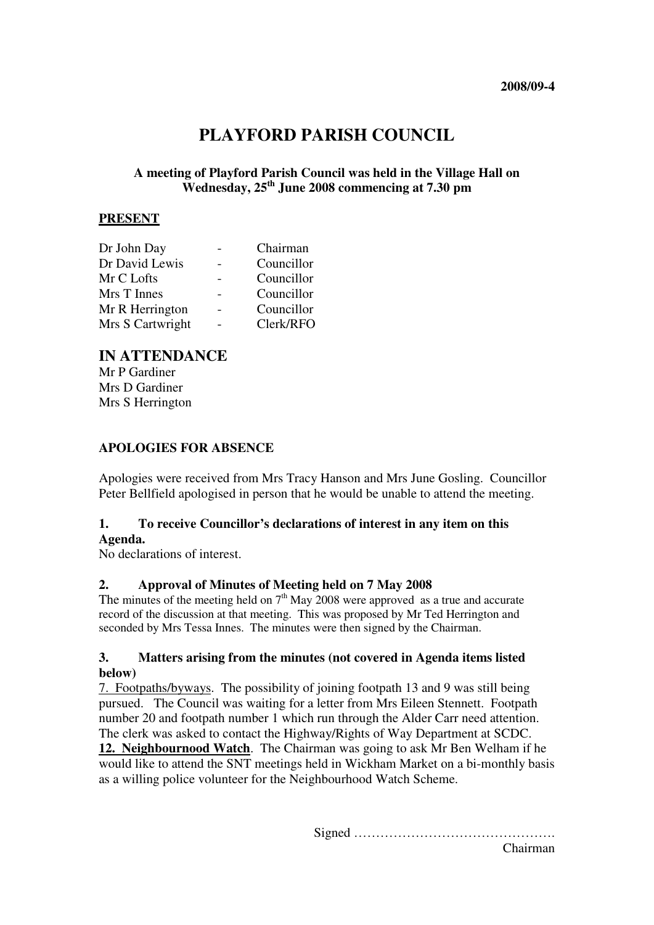# **PLAYFORD PARISH COUNCIL**

# **A meeting of Playford Parish Council was held in the Village Hall on Wednesday, 25th June 2008 commencing at 7.30 pm**

### **PRESENT**

| Dr John Day      | Chairman   |
|------------------|------------|
| Dr David Lewis   | Councillor |
| Mr C Lofts       | Councillor |
| Mrs T Innes      | Councillor |
| Mr R Herrington  | Councillor |
| Mrs S Cartwright | Clerk/RFO  |

# **IN ATTENDANCE**

Mr P Gardiner Mrs D Gardiner Mrs S Herrington

#### **APOLOGIES FOR ABSENCE**

Apologies were received from Mrs Tracy Hanson and Mrs June Gosling. Councillor Peter Bellfield apologised in person that he would be unable to attend the meeting.

#### **1. To receive Councillor's declarations of interest in any item on this Agenda.**

No declarations of interest.

#### **2. Approval of Minutes of Meeting held on 7 May 2008**

The minutes of the meeting held on  $7<sup>th</sup>$  May 2008 were approved as a true and accurate record of the discussion at that meeting. This was proposed by Mr Ted Herrington and seconded by Mrs Tessa Innes. The minutes were then signed by the Chairman.

#### **3. Matters arising from the minutes (not covered in Agenda items listed below)**

7. Footpaths/byways. The possibility of joining footpath 13 and 9 was still being pursued. The Council was waiting for a letter from Mrs Eileen Stennett. Footpath number 20 and footpath number 1 which run through the Alder Carr need attention. The clerk was asked to contact the Highway/Rights of Way Department at SCDC. **12. Neighbournood Watch**. The Chairman was going to ask Mr Ben Welham if he would like to attend the SNT meetings held in Wickham Market on a bi-monthly basis as a willing police volunteer for the Neighbourhood Watch Scheme.

Signed ……………………………………….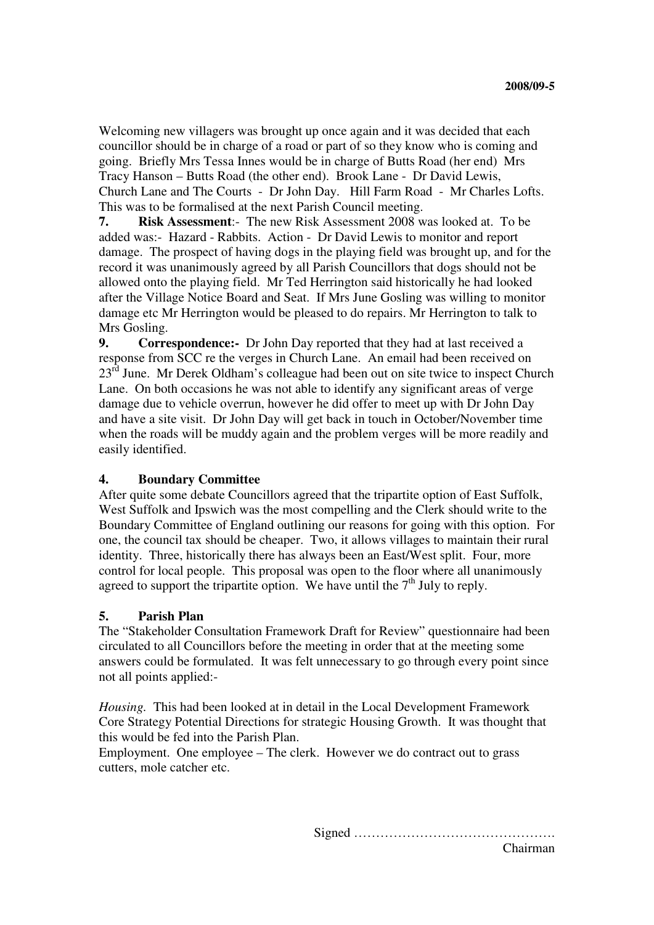Welcoming new villagers was brought up once again and it was decided that each councillor should be in charge of a road or part of so they know who is coming and going. Briefly Mrs Tessa Innes would be in charge of Butts Road (her end) Mrs Tracy Hanson – Butts Road (the other end). Brook Lane - Dr David Lewis, Church Lane and The Courts - Dr John Day. Hill Farm Road - Mr Charles Lofts. This was to be formalised at the next Parish Council meeting.

**7. Risk Assessment**:- The new Risk Assessment 2008 was looked at. To be added was:- Hazard - Rabbits. Action - Dr David Lewis to monitor and report damage. The prospect of having dogs in the playing field was brought up, and for the record it was unanimously agreed by all Parish Councillors that dogs should not be allowed onto the playing field. Mr Ted Herrington said historically he had looked after the Village Notice Board and Seat. If Mrs June Gosling was willing to monitor damage etc Mr Herrington would be pleased to do repairs. Mr Herrington to talk to Mrs Gosling.

**9. Correspondence:-** Dr John Day reported that they had at last received a response from SCC re the verges in Church Lane. An email had been received on  $23<sup>rd</sup>$  June. Mr Derek Oldham's colleague had been out on site twice to inspect Church Lane. On both occasions he was not able to identify any significant areas of verge damage due to vehicle overrun, however he did offer to meet up with Dr John Day and have a site visit. Dr John Day will get back in touch in October/November time when the roads will be muddy again and the problem verges will be more readily and easily identified.

#### **4. Boundary Committee**

After quite some debate Councillors agreed that the tripartite option of East Suffolk, West Suffolk and Ipswich was the most compelling and the Clerk should write to the Boundary Committee of England outlining our reasons for going with this option. For one, the council tax should be cheaper. Two, it allows villages to maintain their rural identity. Three, historically there has always been an East/West split. Four, more control for local people. This proposal was open to the floor where all unanimously agreed to support the tripartite option. We have until the  $7<sup>th</sup>$  July to reply.

# **5. Parish Plan**

The "Stakeholder Consultation Framework Draft for Review" questionnaire had been circulated to all Councillors before the meeting in order that at the meeting some answers could be formulated. It was felt unnecessary to go through every point since not all points applied:-

*Housing.* This had been looked at in detail in the Local Development Framework Core Strategy Potential Directions for strategic Housing Growth. It was thought that this would be fed into the Parish Plan.

Employment. One employee – The clerk. However we do contract out to grass cutters, mole catcher etc.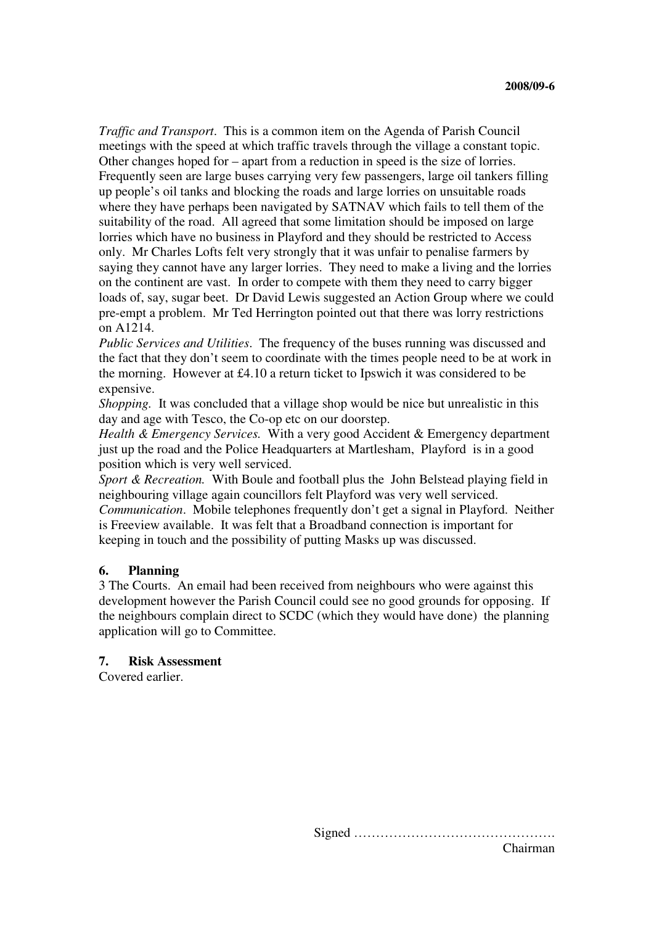*Traffic and Transport*. This is a common item on the Agenda of Parish Council meetings with the speed at which traffic travels through the village a constant topic. Other changes hoped for – apart from a reduction in speed is the size of lorries. Frequently seen are large buses carrying very few passengers, large oil tankers filling up people's oil tanks and blocking the roads and large lorries on unsuitable roads where they have perhaps been navigated by SATNAV which fails to tell them of the suitability of the road. All agreed that some limitation should be imposed on large lorries which have no business in Playford and they should be restricted to Access only. Mr Charles Lofts felt very strongly that it was unfair to penalise farmers by saying they cannot have any larger lorries. They need to make a living and the lorries on the continent are vast. In order to compete with them they need to carry bigger loads of, say, sugar beet. Dr David Lewis suggested an Action Group where we could pre-empt a problem. Mr Ted Herrington pointed out that there was lorry restrictions on A1214.

*Public Services and Utilities*. The frequency of the buses running was discussed and the fact that they don't seem to coordinate with the times people need to be at work in the morning. However at  $\text{\pounds}4.10$  a return ticket to Ipswich it was considered to be expensive.

*Shopping.* It was concluded that a village shop would be nice but unrealistic in this day and age with Tesco, the Co-op etc on our doorstep.

*Health & Emergency Services.* With a very good Accident & Emergency department just up the road and the Police Headquarters at Martlesham, Playford is in a good position which is very well serviced.

*Sport & Recreation.* With Boule and football plus the John Belstead playing field in neighbouring village again councillors felt Playford was very well serviced.

*Communication*. Mobile telephones frequently don't get a signal in Playford. Neither is Freeview available. It was felt that a Broadband connection is important for keeping in touch and the possibility of putting Masks up was discussed.

#### **6. Planning**

3 The Courts. An email had been received from neighbours who were against this development however the Parish Council could see no good grounds for opposing. If the neighbours complain direct to SCDC (which they would have done) the planning application will go to Committee.

#### **7. Risk Assessment**

Covered earlier.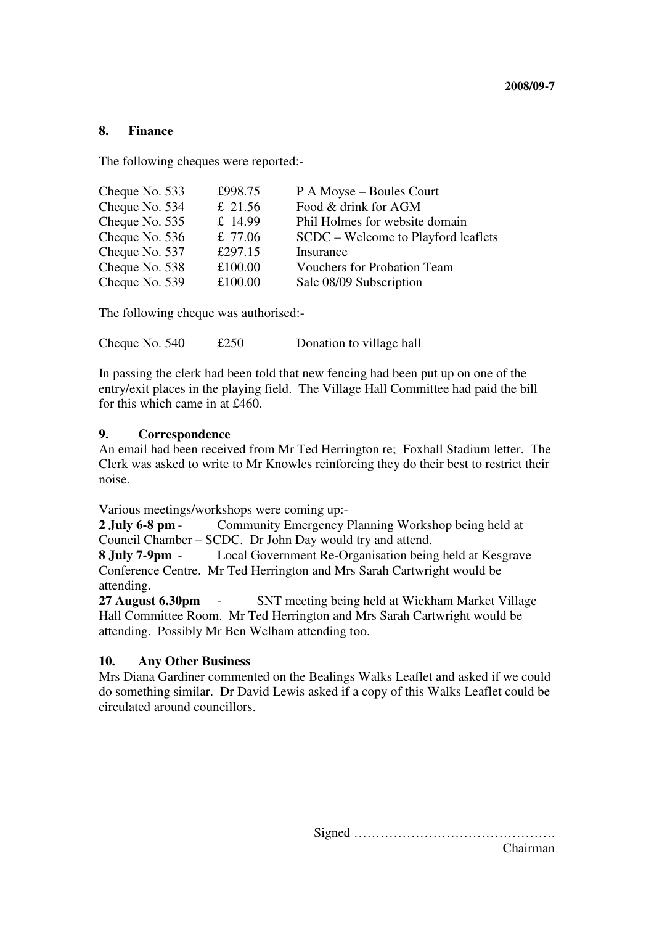#### **8. Finance**

The following cheques were reported:-

| Cheque No. 533 | £998.75   | P A Moyse – Boules Court            |
|----------------|-----------|-------------------------------------|
| Cheque No. 534 | £ 21.56   | Food & drink for AGM                |
| Cheque No. 535 | £ $14.99$ | Phil Holmes for website domain      |
| Cheque No. 536 | £ $77.06$ | SCDC – Welcome to Playford leaflets |
| Cheque No. 537 | £297.15   | Insurance                           |
| Cheque No. 538 | £100.00   | <b>Vouchers for Probation Team</b>  |
| Cheque No. 539 | £100.00   | Salc 08/09 Subscription             |

The following cheque was authorised:-

Cheque No. 540  $\text{\textsterling}250$  Donation to village hall

In passing the clerk had been told that new fencing had been put up on one of the entry/exit places in the playing field. The Village Hall Committee had paid the bill for this which came in at £460.

#### **9. Correspondence**

An email had been received from Mr Ted Herrington re; Foxhall Stadium letter. The Clerk was asked to write to Mr Knowles reinforcing they do their best to restrict their noise.

Various meetings/workshops were coming up:-

**2 July 6-8 pm** - Community Emergency Planning Workshop being held at Council Chamber – SCDC. Dr John Day would try and attend.

**8 July 7-9pm** - Local Government Re-Organisation being held at Kesgrave Conference Centre. Mr Ted Herrington and Mrs Sarah Cartwright would be attending.

**27 August 6.30pm** - SNT meeting being held at Wickham Market Village Hall Committee Room. Mr Ted Herrington and Mrs Sarah Cartwright would be attending. Possibly Mr Ben Welham attending too.

#### **10. Any Other Business**

Mrs Diana Gardiner commented on the Bealings Walks Leaflet and asked if we could do something similar. Dr David Lewis asked if a copy of this Walks Leaflet could be circulated around councillors.